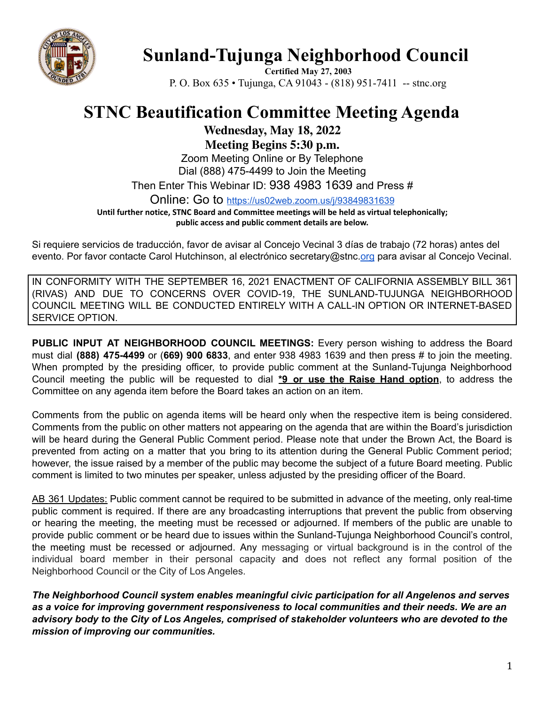

## **Sunland-Tujunga Neighborhood Council**

**Certified May 27, 2003** P. O. Box 635 • Tujunga, CA 91043 - (818) 951-7411 -- stnc.org

## **STNC Beautification Committee Meeting Agenda**

**Wednesday, May 18, 2022**

**Meeting Begins 5:30 p.m.**

Zoom Meeting Online or By Telephone Dial (888) 475-4499 to Join the Meeting

Then Enter This Webinar ID: 938 4983 1639 and Press #

Online: Go to <https://us02web.zoom.us/j/93849831639>

**Until further notice, STNC Board and Committee meetings will be held as virtual telephonically; public access and public comment details are below.**

Si requiere servicios de traducción, favor de avisar al Concejo Vecinal 3 días de trabajo (72 horas) antes del evento. Por favor contacte Carol Hutchinson, al electrónico secretary@stnc[.org](mailto:XXX@NeighborhoodCouncil.org) para avisar al Concejo Vecinal.

IN CONFORMITY WITH THE SEPTEMBER 16, 2021 ENACTMENT OF CALIFORNIA ASSEMBLY BILL 361 (RIVAS) AND DUE TO CONCERNS OVER COVID-19, THE SUNLAND-TUJUNGA NEIGHBORHOOD COUNCIL MEETING WILL BE CONDUCTED ENTIRELY WITH A CALL-IN OPTION OR INTERNET-BASED SERVICE OPTION.

**PUBLIC INPUT AT NEIGHBORHOOD COUNCIL MEETINGS:** Every person wishing to address the Board must dial **(888) 475-4499** or (**669) 900 6833**, and enter 938 4983 1639 and then press # to join the meeting. When prompted by the presiding officer, to provide public comment at the Sunland-Tujunga Neighborhood Council meeting the public will be requested to dial **\*9 or use the Raise Hand option**, to address the Committee on any agenda item before the Board takes an action on an item.

Comments from the public on agenda items will be heard only when the respective item is being considered. Comments from the public on other matters not appearing on the agenda that are within the Board's jurisdiction will be heard during the General Public Comment period. Please note that under the Brown Act, the Board is prevented from acting on a matter that you bring to its attention during the General Public Comment period; however, the issue raised by a member of the public may become the subject of a future Board meeting. Public comment is limited to two minutes per speaker, unless adjusted by the presiding officer of the Board.

AB 361 Updates: Public comment cannot be required to be submitted in advance of the meeting, only real-time public comment is required. If there are any broadcasting interruptions that prevent the public from observing or hearing the meeting, the meeting must be recessed or adjourned. If members of the public are unable to provide public comment or be heard due to issues within the Sunland-Tujunga Neighborhood Council's control, the meeting must be recessed or adjourned. Any messaging or virtual background is in the control of the individual board member in their personal capacity and does not reflect any formal position of the Neighborhood Council or the City of Los Angeles.

*The Neighborhood Council system enables meaningful civic participation for all Angelenos and serves as a voice for improving government responsiveness to local communities and their needs. We are an advisory body to the City of Los Angeles, comprised of stakeholder volunteers who are devoted to the mission of improving our communities.*